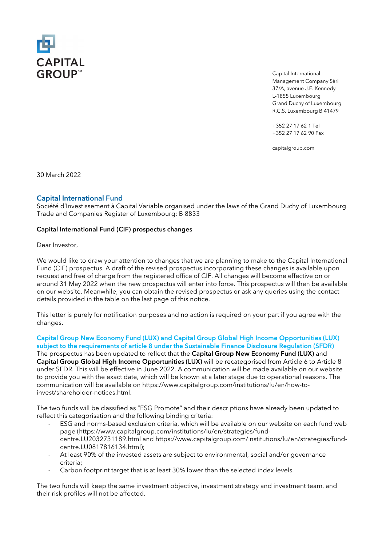

Capital International Management Company Sàrl 37/A, avenue J.F. Kennedy L-1855 Luxembourg Grand Duchy of Luxembourg R.C.S. Luxembourg B 41479

+352 27 17 62 1 Tel +352 27 17 62 90 Fax

capitalgroup.com

30 March 2022

# Capital International Fund

Société d'Investissement à Capital Variable organised under the laws of the Grand Duchy of Luxembourg Trade and Companies Register of Luxembourg: B 8833

### Capital International Fund (CIF) prospectus changes

Dear Investor,

We would like to draw your attention to changes that we are planning to make to the Capital International Fund (CIF) prospectus. A draft of the revised prospectus incorporating these changes is available upon request and free of charge from the registered office of CIF. All changes will become effective on or around 31 May 2022 when the new prospectus will enter into force. This prospectus will then be available on our website. Meanwhile, you can obtain the revised prospectus or ask any queries using the contact details provided in the table on the last page of this notice.

This letter is purely for notification purposes and no action is required on your part if you agree with the changes.

# Capital Group New Economy Fund (LUX) and Capital Group Global High Income Opportunities (LUX) subject to the requirements of article 8 under the Sustainable Finance Disclosure Regulation (SFDR)

The prospectus has been updated to reflect that the Capital Group New Economy Fund (LUX) and Capital Group Global High Income Opportunities (LUX) will be recategorised from Article 6 to Article 8 under SFDR. This will be effective in June 2022. A communication will be made available on our website to provide you with the exact date, which will be known at a later stage due to operational reasons. The communication will be available on https://www.capitalgroup.com/institutions/lu/en/how-toinvest/shareholder-notices.html.

The two funds will be classified as "ESG Promote" and their descriptions have already been updated to reflect this categorisation and the following binding criteria:

- ESG and norms-based exclusion criteria, which will be available on our website on each fund web page (https://www.capitalgroup.com/institutions/lu/en/strategies/fundcentre.LU2032731189.html and https://www.capitalgroup.com/institutions/lu/en/strategies/fundcentre.LU0817816134.html);
- At least 90% of the invested assets are subject to environmental, social and/or governance criteria;
- Carbon footprint target that is at least 30% lower than the selected index levels.

The two funds will keep the same investment objective, investment strategy and investment team, and their risk profiles will not be affected.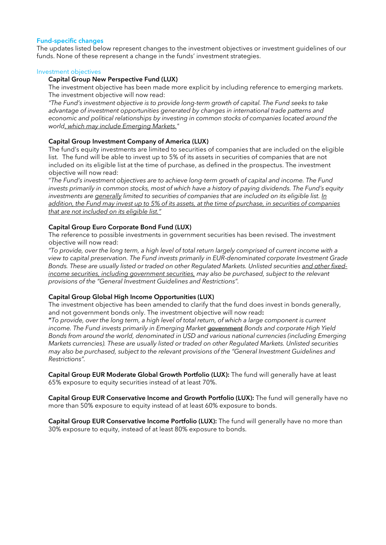### Fund-specific changes

The updates listed below represent changes to the investment objectives or investment guidelines of our funds. None of these represent a change in the funds' investment strategies.

#### Investment objectives

### Capital Group New Perspective Fund (LUX)

The investment objective has been made more explicit by including reference to emerging markets. The investment objective will now read:

*"The Fund's investment objective is to provide long-term growth of capital. The Fund seeks to take advantage of investment opportunities generated by changes in international trade patterns and economic and political relationships by investing in common stocks of companies located around the world, which may include Emerging Markets."*

# Capital Group Investment Company of America (LUX)

The fund's equity investments are limited to securities of companies that are included on the eligible list. The fund will be able to invest up to 5% of its assets in securities of companies that are not included on its eligible list at the time of purchase, as defined in the prospectus. The investment objective will now read:

"*The Fund's investment objectives are to achieve long-term growth of capital and income. The Fund invests primarily in common stocks, most of which have a history of paying dividends. The Fund's equity investments are generally limited to securities of companies that are included on its eligible list. In addition, the Fund may invest up to 5% of its assets, at the time of purchase, in securities of companies that are not included on its eligible list."*

### Capital Group Euro Corporate Bond Fund (LUX)

The reference to possible investments in government securities has been revised. The investment objective will now read:

*"To provide, over the long term, a high level of total return largely comprised of current income with a view to capital preservation. The Fund invests primarily in EUR-denominated corporate Investment Grade Bonds. These are usually listed or traded on other Regulated Markets. Unlisted securities and other fixedincome securities, including government securities, may also be purchased, subject to the relevant provisions of the "General Investment Guidelines and Restrictions".*

# Capital Group Global High Income Opportunities (LUX)

The investment objective has been amended to clarify that the fund does invest in bonds generally, and not government bonds only. The investment objective will now read:

"*To provide, over the long term, a high level of total return, of which a large component is current income. The Fund invests primarily in Emerging Market government Bonds and corporate High Yield Bonds from around the world, denominated in USD and various national currencies (including Emerging Markets currencies). These are usually listed or traded on other Regulated Markets. Unlisted securities may also be purchased, subject to the relevant provisions of the "General Investment Guidelines and Restrictions".*

Capital Group EUR Moderate Global Growth Portfolio (LUX): The fund will generally have at least 65% exposure to equity securities instead of at least 70%.

Capital Group EUR Conservative Income and Growth Portfolio (LUX): The fund will generally have no more than 50% exposure to equity instead of at least 60% exposure to bonds.

Capital Group EUR Conservative Income Portfolio (LUX): The fund will generally have no more than 30% exposure to equity, instead of at least 80% exposure to bonds.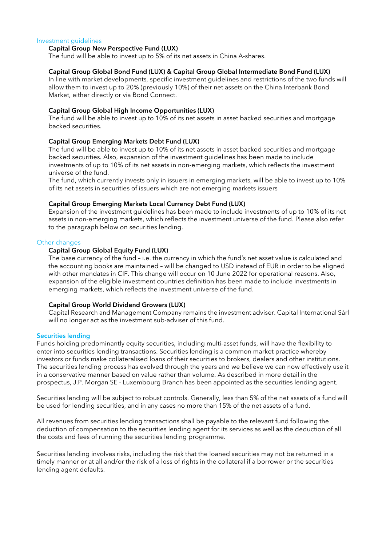#### Investment guidelines

### Capital Group New Perspective Fund (LUX)

The fund will be able to invest up to 5% of its net assets in China A-shares.

#### Capital Group Global Bond Fund (LUX) & Capital Group Global Intermediate Bond Fund (LUX)

In line with market developments, specific investment guidelines and restrictions of the two funds will allow them to invest up to 20% (previously 10%) of their net assets on the China Interbank Bond Market, either directly or via Bond Connect.

#### Capital Group Global High Income Opportunities (LUX)

The fund will be able to invest up to 10% of its net assets in asset backed securities and mortgage backed securities.

#### Capital Group Emerging Markets Debt Fund (LUX)

The fund will be able to invest up to 10% of its net assets in asset backed securities and mortgage backed securities. Also, expansion of the investment guidelines has been made to include investments of up to 10% of its net assets in non-emerging markets, which reflects the investment universe of the fund.

The fund, which currently invests only in issuers in emerging markets, will be able to invest up to 10% of its net assets in securities of issuers which are not emerging markets issuers

#### Capital Group Emerging Markets Local Currency Debt Fund (LUX)

Expansion of the investment guidelines has been made to include investments of up to 10% of its net assets in non-emerging markets, which reflects the investment universe of the fund. Please also refer to the paragraph below on securities lending.

#### Other changes

### Capital Group Global Equity Fund (LUX)

The base currency of the fund – i.e. the currency in which the fund's net asset value is calculated and the accounting books are maintained – will be changed to USD instead of EUR in order to be aligned with other mandates in CIF. This change will occur on 10 June 2022 for operational reasons. Also, expansion of the eligible investment countries definition has been made to include investments in emerging markets, which reflects the investment universe of the fund.

### Capital Group World Dividend Growers (LUX)

Capital Research and Management Company remains the investment adviser. Capital International Sàrl will no longer act as the investment sub-adviser of this fund.

#### Securities lending

Funds holding predominantly equity securities, including multi-asset funds, will have the flexibility to enter into securities lending transactions. Securities lending is a common market practice whereby investors or funds make collateralised loans of their securities to brokers, dealers and other institutions. The securities lending process has evolved through the years and we believe we can now effectively use it in a conservative manner based on value rather than volume. As described in more detail in the prospectus, J.P. Morgan SE - Luxembourg Branch has been appointed as the securities lending agent.

Securities lending will be subject to robust controls. Generally, less than 5% of the net assets of a fund will be used for lending securities, and in any cases no more than 15% of the net assets of a fund.

All revenues from securities lending transactions shall be payable to the relevant fund following the deduction of compensation to the securities lending agent for its services as well as the deduction of all the costs and fees of running the securities lending programme.

Securities lending involves risks, including the risk that the loaned securities may not be returned in a timely manner or at all and/or the risk of a loss of rights in the collateral if a borrower or the securities lending agent defaults.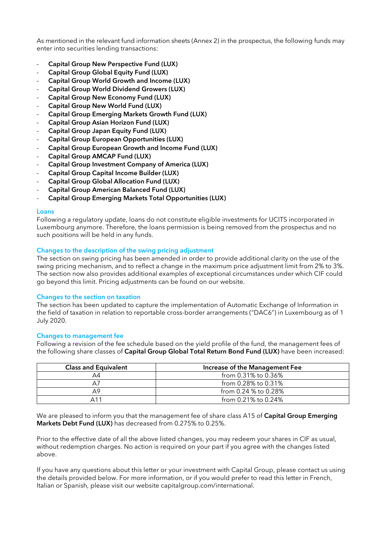As mentioned in the relevant fund information sheets (Annex 2) in the prospectus, the following funds may enter into securities lending transactions:

- Capital Group New Perspective Fund (LUX)
- Capital Group Global Equity Fund (LUX)
- Capital Group World Growth and Income (LUX)
- Capital Group World Dividend Growers (LUX)
- Capital Group New Economy Fund (LUX)
- Capital Group New World Fund (LUX)
- Capital Group Emerging Markets Growth Fund (LUX)
- Capital Group Asian Horizon Fund (LUX)
- Capital Group Japan Equity Fund (LUX)
- Capital Group European Opportunities (LUX)
- Capital Group European Growth and Income Fund (LUX)
- Capital Group AMCAP Fund (LUX)
- Capital Group Investment Company of America (LUX)
- Capital Group Capital Income Builder (LUX)
- Capital Group Global Allocation Fund (LUX)
- Capital Group American Balanced Fund (LUX)
- Capital Group Emerging Markets Total Opportunities (LUX)

### Loans

Following a regulatory update, loans do not constitute eligible investments for UCITS incorporated in Luxembourg anymore. Therefore, the loans permission is being removed from the prospectus and no such positions will be held in any funds.

# Changes to the description of the swing pricing adjustment

The section on swing pricing has been amended in order to provide additional clarity on the use of the swing pricing mechanism, and to reflect a change in the maximum price adjustment limit from 2% to 3%. The section now also provides additional examples of exceptional circumstances under which CIF could go beyond this limit. Pricing adjustments can be found on our website.

# Changes to the section on taxation

The section has been updated to capture the implementation of Automatic Exchange of Information in the field of taxation in relation to reportable cross-border arrangements ("DAC6") in Luxembourg as of 1 July 2020.

# Changes to management fee

Following a revision of the fee schedule based on the yield profile of the fund, the management fees of the following share classes of Capital Group Global Total Return Bond Fund (LUX) have been increased:

| <b>Class and Equivalent</b> | Increase of the Management Fee |  |
|-----------------------------|--------------------------------|--|
| A4                          | from 0.31% to 0.36%            |  |
| A7                          | from 0.28% to 0.31%            |  |
| Α9                          | from 0.24 $\%$ to 0.28%        |  |
| ∆ 1 1                       | from 0.21% to 0.24%            |  |

We are pleased to inform you that the management fee of share class A15 of Capital Group Emerging Markets Debt Fund (LUX) has decreased from 0.275% to 0.25%.

Prior to the effective date of all the above listed changes, you may redeem your shares in CIF as usual, without redemption charges. No action is required on your part if you agree with the changes listed above.

If you have any questions about this letter or your investment with Capital Group, please contact us using the details provided below. For more information, or if you would prefer to read this letter in French, Italian or Spanish, please visit our website capitalgroup.com/international.